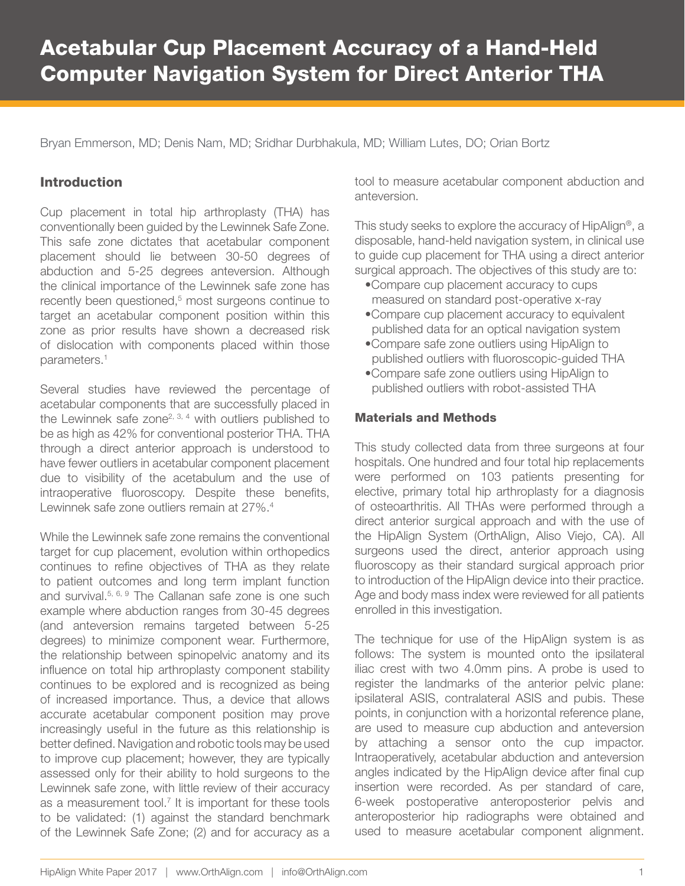Bryan Emmerson, MD; Denis Nam, MD; Sridhar Durbhakula, MD; William Lutes, DO; Orian Bortz

## Introduction

Cup placement in total hip arthroplasty (THA) has conventionally been guided by the Lewinnek Safe Zone. This safe zone dictates that acetabular component placement should lie between 30-50 degrees of abduction and 5-25 degrees anteversion. Although the clinical importance of the Lewinnek safe zone has recently been questioned,<sup>5</sup> most surgeons continue to target an acetabular component position within this zone as prior results have shown a decreased risk of dislocation with components placed within those parameters.<sup>1</sup>

Several studies have reviewed the percentage of acetabular components that are successfully placed in the Lewinnek safe zone<sup>2, 3, 4</sup> with outliers published to be as high as 42% for conventional posterior THA. THA through a direct anterior approach is understood to have fewer outliers in acetabular component placement due to visibility of the acetabulum and the use of intraoperative fluoroscopy. Despite these benefits, Lewinnek safe zone outliers remain at 27%.<sup>4</sup>

While the Lewinnek safe zone remains the conventional target for cup placement, evolution within orthopedics continues to refine objectives of THA as they relate to patient outcomes and long term implant function and survival.<sup>5, 6, 9</sup> The Callanan safe zone is one such example where abduction ranges from 30-45 degrees (and anteversion remains targeted between 5-25 degrees) to minimize component wear. Furthermore, the relationship between spinopelvic anatomy and its influence on total hip arthroplasty component stability continues to be explored and is recognized as being of increased importance. Thus, a device that allows accurate acetabular component position may prove increasingly useful in the future as this relationship is better defined. Navigation and robotic tools may be used to improve cup placement; however, they are typically assessed only for their ability to hold surgeons to the Lewinnek safe zone, with little review of their accuracy as a measurement tool.<sup>7</sup> It is important for these tools to be validated: (1) against the standard benchmark of the Lewinnek Safe Zone; (2) and for accuracy as a tool to measure acetabular component abduction and anteversion.

This study seeks to explore the accuracy of HipAlign®, a disposable, hand-held navigation system, in clinical use to guide cup placement for THA using a direct anterior surgical approach. The objectives of this study are to:

- •Compare cup placement accuracy to cups measured on standard post-operative x-ray
- •Compare cup placement accuracy to equivalent published data for an optical navigation system
- •Compare safe zone outliers using HipAlign to published outliers with fluoroscopic-guided THA
- •Compare safe zone outliers using HipAlign to published outliers with robot-assisted THA

## Materials and Methods

This study collected data from three surgeons at four hospitals. One hundred and four total hip replacements were performed on 103 patients presenting for elective, primary total hip arthroplasty for a diagnosis of osteoarthritis. All THAs were performed through a direct anterior surgical approach and with the use of the HipAlign System (OrthAlign, Aliso Viejo, CA). All surgeons used the direct, anterior approach using fluoroscopy as their standard surgical approach prior to introduction of the HipAlign device into their practice. Age and body mass index were reviewed for all patients enrolled in this investigation.

The technique for use of the HipAlign system is as follows: The system is mounted onto the ipsilateral iliac crest with two 4.0mm pins. A probe is used to register the landmarks of the anterior pelvic plane: ipsilateral ASIS, contralateral ASIS and pubis. These points, in conjunction with a horizontal reference plane, are used to measure cup abduction and anteversion by attaching a sensor onto the cup impactor. Intraoperatively, acetabular abduction and anteversion angles indicated by the HipAlign device after final cup insertion were recorded. As per standard of care, 6-week postoperative anteroposterior pelvis and anteroposterior hip radiographs were obtained and used to measure acetabular component alignment.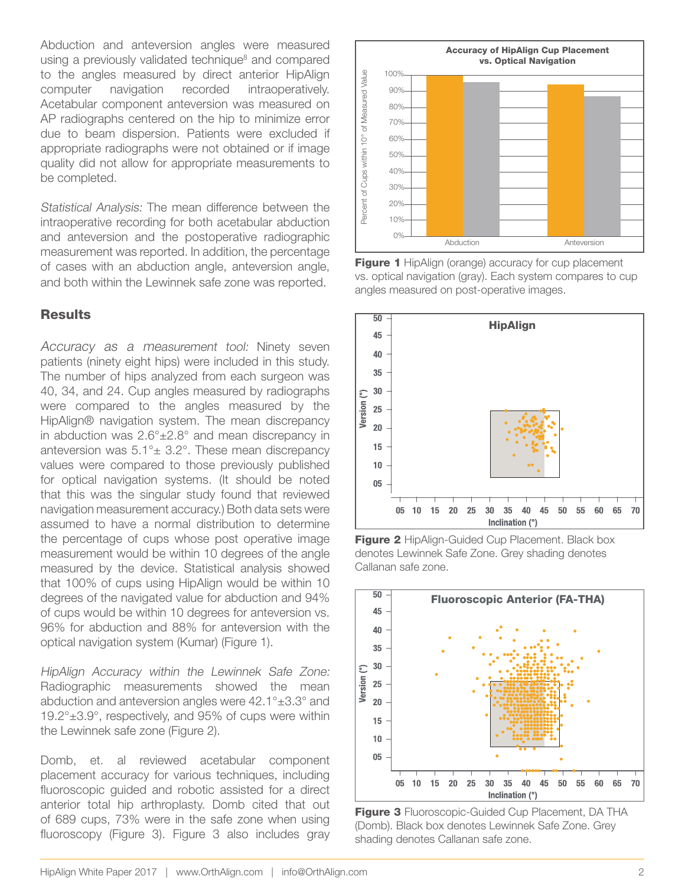Abduction and anteversion angles were measured using a previously validated technique<sup>8</sup> and compared to the angles measured by direct anterior HipAlign computer navigation recorded intraoperatively. Acetabular component anteversion was measured on AP radiographs centered on the hip to minimize error due to beam dispersion. Patients were excluded if appropriate radiographs were not obtained or if image quality did not allow for appropriate measurements to be completed.

Statistical Analysis: The mean difference between the intraoperative recording for both acetabular abduction and anteversion and the postoperative radiographic measurement was reported. In addition, the percentage of cases with an abduction angle, anteversion angle, and both within the Lewinnek safe zone was reported.

## **Results**

Accuracy as a measurement tool: Ninety seven patients (ninety eight hips) were included in this study. The number of hips analyzed from each surgeon was 40, 34, and 24. Cup angles measured by radiographs were compared to the angles measured by the HipAlign® navigation system. The mean discrepancy in abduction was 2.6°±2.8° and mean discrepancy in anteversion was  $5.1^\circ \pm 3.2^\circ$ . These mean discrepancy values were compared to those previously published for optical navigation systems. (It should be noted that this was the singular study found that reviewed navigation measurement accuracy.) Both data sets were assumed to have a normal distribution to determine the percentage of cups whose post operative image measurement would be within 10 degrees of the angle measured by the device. Statistical analysis showed that 100% of cups using HipAlign would be within 10 degrees of the navigated value for abduction and 94% of cups would be within 10 degrees for anteversion vs. 96% for abduction and 88% for anteversion with the optical navigation system (Kumar) (Figure 1).

HipAlign Accuracy within the Lewinnek Safe Zone: Radiographic measurements showed the mean abduction and anteversion angles were 42.1°±3.3° and 19.2°±3.9°, respectively, and 95% of cups were within the Lewinnek safe zone (Figure 2).

Domb, et. al reviewed acetabular component placement accuracy for various techniques, including fluoroscopic guided and robotic assisted for a direct anterior total hip arthroplasty. Domb cited that out of 689 cups, 73% were in the safe zone when using fluoroscopy (Figure 3). Figure 3 also includes gray



Figure 1 HipAlign (orange) accuracy for cup placement vs. optical navigation (gray). Each system compares to cup angles measured on post-operative images.



**Figure 2** HipAlign-Guided Cup Placement. Black box denotes Lewinnek Safe Zone. Grey shading denotes Callanan safe zone.



Figure 3 Fluoroscopic-Guided Cup Placement, DA THA (Domb). Black box denotes Lewinnek Safe Zone. Grey shading denotes Callanan safe zone.